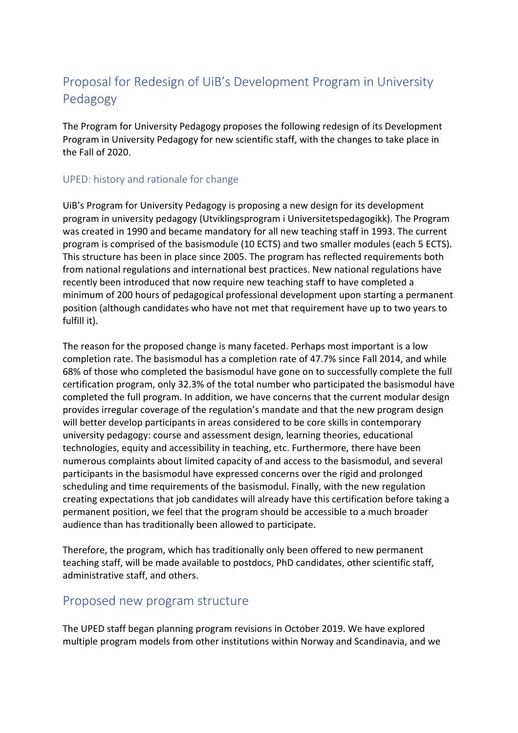# Proposal for Redesign of UiB's Development Program in University Pedagogy

The Program for University Pedagogy proposes the following redesign of its Development Program in University Pedagogy for new scientific staff, with the changes to take place in the Fall of 2020.

## UPED: history and rationale for change

UiB's Program for University Pedagogy is proposing a new design for its development program in university pedagogy (Utviklingsprogram i Universitetspedagogikk). The Program was created in 1990 and became mandatory for all new teaching staff in 1993. The current program is comprised of the basismodule (10 ECTS) and two smaller modules (each 5 ECTS). This structure has been in place since 2005. The program has reflected requirements both from national regulations and international best practices. New national regulations have recently been introduced that now require new teaching staff to have completed a minimum of 200 hours of pedagogical professional development upon starting a permanent position (although candidates who have not met that requirement have up to two years to fulfill it).

The reason for the proposed change is many faceted. Perhaps most important is a low completion rate. The basismodul has a completion rate of 47.7% since Fall 2014, and while 68% of those who completed the basismodul have gone on to successfully complete the full certification program, only 32.3% of the total number who participated the basismodul have completed the full program. In addition, we have concerns that the current modular design provides irregular coverage of the regulation's mandate and that the new program design will better develop participants in areas considered to be core skills in contemporary university pedagogy: course and assessment design, learning theories, educational technologies, equity and accessibility in teaching, etc. Furthermore, there have been numerous complaints about limited capacity of and access to the basismodul, and several participants in the basismodul have expressed concerns over the rigid and prolonged scheduling and time requirements of the basismodul. Finally, with the new regulation creating expectations that job candidates will already have this certification before taking a permanent position, we feel that the program should be accessible to a much broader audience than has traditionally been allowed to participate.

Therefore, the program, which has traditionally only been offered to new permanent teaching staff, will be made available to postdocs, PhD candidates, other scientific staff, administrative staff, and others.

# Proposed new program structure

The UPED staff began planning program revisions in October 2019. We have explored multiple program models from other institutions within Norway and Scandinavia, and we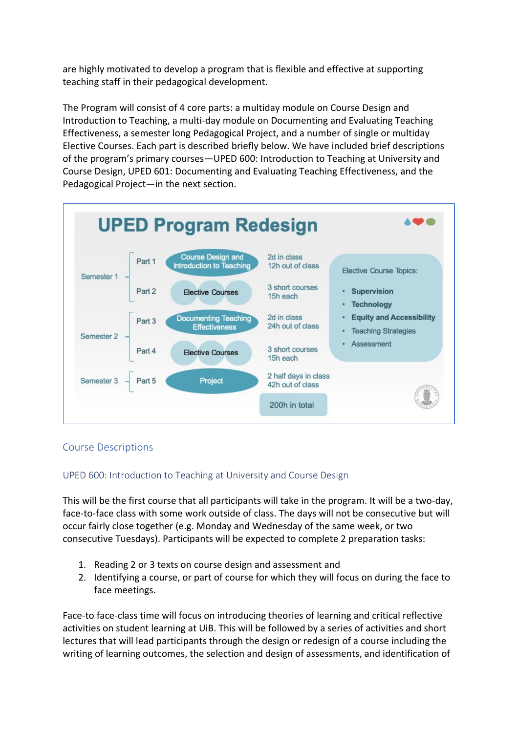are highly motivated to develop a program that is flexible and effective at supporting teaching staff in their pedagogical development.

The Program will consist of 4 core parts: a multiday module on Course Design and Introduction to Teaching, a multi-day module on Documenting and Evaluating Teaching Effectiveness, a semester long Pedagogical Project, and a number of single or multiday Elective Courses. Each part is described briefly below. We have included brief descriptions of the program's primary courses—UPED 600: Introduction to Teaching at University and Course Design, UPED 601: Documenting and Evaluating Teaching Effectiveness, and the Pedagogical Project—in the next section.



# Course Descriptions

### UPED 600: Introduction to Teaching at University and Course Design

This will be the first course that all participants will take in the program. It will be a two-day, face-to-face class with some work outside of class. The days will not be consecutive but will occur fairly close together (e.g. Monday and Wednesday of the same week, or two consecutive Tuesdays). Participants will be expected to complete 2 preparation tasks:

- 1. Reading 2 or 3 texts on course design and assessment and
- 2. Identifying a course, or part of course for which they will focus on during the face to face meetings.

Face-to face-class time will focus on introducing theories of learning and critical reflective activities on student learning at UiB. This will be followed by a series of activities and short lectures that will lead participants through the design or redesign of a course including the writing of learning outcomes, the selection and design of assessments, and identification of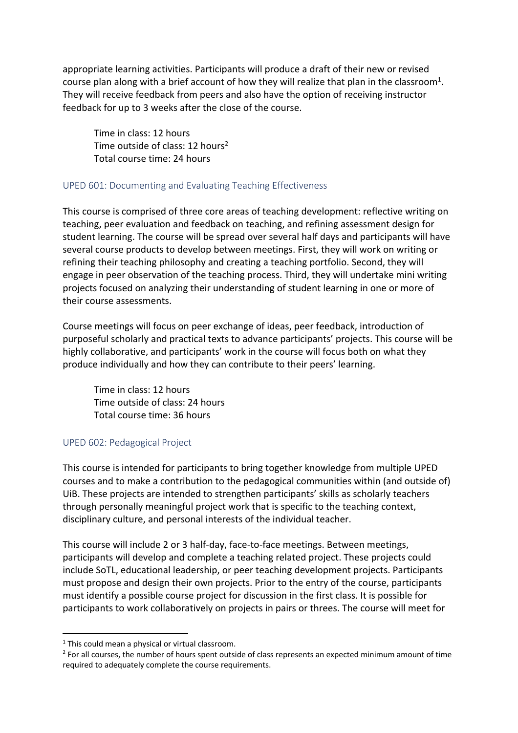appropriate learning activities. Participants will produce a draft of their new or revised course plan along with a brief account of how they will realize that plan in the classroom<sup>1</sup>. They will receive feedback from peers and also have the option of receiving instructor feedback for up to 3 weeks after the close of the course.

Time in class: 12 hours Time outside of class:  $12$  hours<sup>2</sup> Total course time: 24 hours

#### UPED 601: Documenting and Evaluating Teaching Effectiveness

This course is comprised of three core areas of teaching development: reflective writing on teaching, peer evaluation and feedback on teaching, and refining assessment design for student learning. The course will be spread over several half days and participants will have several course products to develop between meetings. First, they will work on writing or refining their teaching philosophy and creating a teaching portfolio. Second, they will engage in peer observation of the teaching process. Third, they will undertake mini writing projects focused on analyzing their understanding of student learning in one or more of their course assessments.

Course meetings will focus on peer exchange of ideas, peer feedback, introduction of purposeful scholarly and practical texts to advance participants' projects. This course will be highly collaborative, and participants' work in the course will focus both on what they produce individually and how they can contribute to their peers' learning.

Time in class: 12 hours Time outside of class: 24 hours Total course time: 36 hours

#### UPED 602: Pedagogical Project

This course is intended for participants to bring together knowledge from multiple UPED courses and to make a contribution to the pedagogical communities within (and outside of) UiB. These projects are intended to strengthen participants' skills as scholarly teachers through personally meaningful project work that is specific to the teaching context, disciplinary culture, and personal interests of the individual teacher.

This course will include 2 or 3 half-day, face-to-face meetings. Between meetings, participants will develop and complete a teaching related project. These projects could include SoTL, educational leadership, or peer teaching development projects. Participants must propose and design their own projects. Prior to the entry of the course, participants must identify a possible course project for discussion in the first class. It is possible for participants to work collaboratively on projects in pairs or threes. The course will meet for

 $1$  This could mean a physical or virtual classroom.

<sup>&</sup>lt;sup>2</sup> For all courses, the number of hours spent outside of class represents an expected minimum amount of time required to adequately complete the course requirements.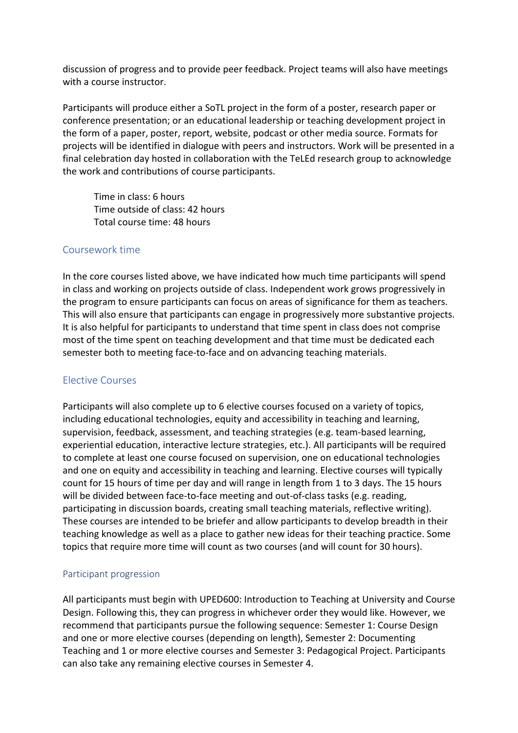discussion of progress and to provide peer feedback. Project teams will also have meetings with a course instructor.

Participants will produce either a SoTL project in the form of a poster, research paper or conference presentation; or an educational leadership or teaching development project in the form of a paper, poster, report, website, podcast or other media source. Formats for projects will be identified in dialogue with peers and instructors. Work will be presented in a final celebration day hosted in collaboration with the TeLEd research group to acknowledge the work and contributions of course participants.

Time in class: 6 hours Time outside of class: 42 hours Total course time: 48 hours

#### Coursework time

In the core courses listed above, we have indicated how much time participants will spend in class and working on projects outside of class. Independent work grows progressively in the program to ensure participants can focus on areas of significance for them as teachers. This will also ensure that participants can engage in progressively more substantive projects. It is also helpful for participants to understand that time spent in class does not comprise most of the time spent on teaching development and that time must be dedicated each semester both to meeting face-to-face and on advancing teaching materials.

### Elective Courses

Participants will also complete up to 6 elective courses focused on a variety of topics, including educational technologies, equity and accessibility in teaching and learning, supervision, feedback, assessment, and teaching strategies (e.g. team-based learning, experiential education, interactive lecture strategies, etc.). All participants will be required to complete at least one course focused on supervision, one on educational technologies and one on equity and accessibility in teaching and learning. Elective courses will typically count for 15 hours of time per day and will range in length from 1 to 3 days. The 15 hours will be divided between face-to-face meeting and out-of-class tasks (e.g. reading, participating in discussion boards, creating small teaching materials, reflective writing). These courses are intended to be briefer and allow participants to develop breadth in their teaching knowledge as well as a place to gather new ideas for their teaching practice. Some topics that require more time will count as two courses (and will count for 30 hours).

#### Participant progression

All participants must begin with UPED600: Introduction to Teaching at University and Course Design. Following this, they can progress in whichever order they would like. However, we recommend that participants pursue the following sequence: Semester 1: Course Design and one or more elective courses (depending on length), Semester 2: Documenting Teaching and 1 or more elective courses and Semester 3: Pedagogical Project. Participants can also take any remaining elective courses in Semester 4.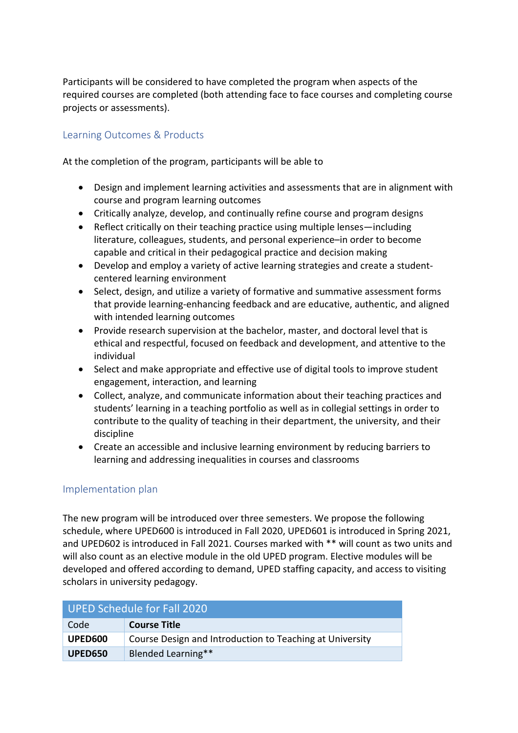Participants will be considered to have completed the program when aspects of the required courses are completed (both attending face to face courses and completing course projects or assessments).

# Learning Outcomes & Products

At the completion of the program, participants will be able to

- Design and implement learning activities and assessments that are in alignment with course and program learning outcomes
- Critically analyze, develop, and continually refine course and program designs
- Reflect critically on their teaching practice using multiple lenses—including literature, colleagues, students, and personal experience–in order to become capable and critical in their pedagogical practice and decision making
- Develop and employ a variety of active learning strategies and create a studentcentered learning environment
- Select, design, and utilize a variety of formative and summative assessment forms that provide learning-enhancing feedback and are educative, authentic, and aligned with intended learning outcomes
- Provide research supervision at the bachelor, master, and doctoral level that is ethical and respectful, focused on feedback and development, and attentive to the individual
- Select and make appropriate and effective use of digital tools to improve student engagement, interaction, and learning
- Collect, analyze, and communicate information about their teaching practices and students' learning in a teaching portfolio as well as in collegial settings in order to contribute to the quality of teaching in their department, the university, and their discipline
- Create an accessible and inclusive learning environment by reducing barriers to learning and addressing inequalities in courses and classrooms

### Implementation plan

The new program will be introduced over three semesters. We propose the following schedule, where UPED600 is introduced in Fall 2020, UPED601 is introduced in Spring 2021, and UPED602 is introduced in Fall 2021. Courses marked with \*\* will count as two units and will also count as an elective module in the old UPED program. Elective modules will be developed and offered according to demand, UPED staffing capacity, and access to visiting scholars in university pedagogy.

| UPED Schedule for Fall 2020 |                                                          |  |
|-----------------------------|----------------------------------------------------------|--|
| Code                        | <b>Course Title</b>                                      |  |
| UPED600                     | Course Design and Introduction to Teaching at University |  |
| <b>UPED650</b>              | Blended Learning**                                       |  |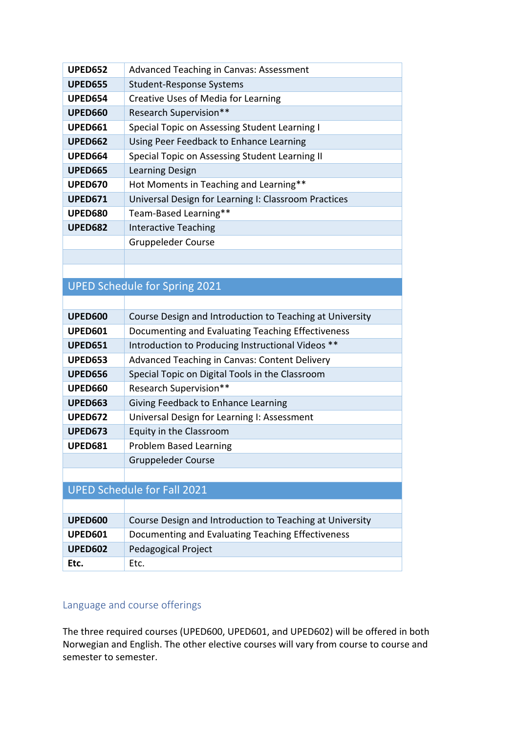| <b>UPED652</b> | Advanced Teaching in Canvas: Assessment              |
|----------------|------------------------------------------------------|
| <b>UPED655</b> | Student-Response Systems                             |
| <b>UPED654</b> | Creative Uses of Media for Learning                  |
| <b>UPED660</b> | <b>Research Supervision**</b>                        |
| <b>UPED661</b> | Special Topic on Assessing Student Learning I        |
| <b>UPED662</b> | Using Peer Feedback to Enhance Learning              |
| UPED664        | Special Topic on Assessing Student Learning II       |
| <b>UPED665</b> | Learning Design                                      |
| <b>UPED670</b> | Hot Moments in Teaching and Learning**               |
| <b>UPED671</b> | Universal Design for Learning I: Classroom Practices |
| <b>UPED680</b> | Team-Based Learning**                                |
| <b>UPED682</b> | <b>Interactive Teaching</b>                          |
|                | Gruppeleder Course                                   |
|                |                                                      |

# UPED Schedule for Spring 2021

| UPED600                            | Course Design and Introduction to Teaching at University |
|------------------------------------|----------------------------------------------------------|
| <b>UPED601</b>                     | Documenting and Evaluating Teaching Effectiveness        |
| <b>UPED651</b>                     | Introduction to Producing Instructional Videos **        |
| UPED653                            | Advanced Teaching in Canvas: Content Delivery            |
| <b>UPED656</b>                     | Special Topic on Digital Tools in the Classroom          |
| <b>UPED660</b>                     | <b>Research Supervision**</b>                            |
| <b>UPED663</b>                     | Giving Feedback to Enhance Learning                      |
| <b>UPED672</b>                     | Universal Design for Learning I: Assessment              |
| <b>UPED673</b>                     | Equity in the Classroom                                  |
| <b>UPED681</b>                     | <b>Problem Based Learning</b>                            |
|                                    | <b>Gruppeleder Course</b>                                |
|                                    |                                                          |
| <b>UPED Schedule for Fall 2021</b> |                                                          |
|                                    |                                                          |
|                                    |                                                          |

| <b>UPED600</b> | Course Design and Introduction to Teaching at University |
|----------------|----------------------------------------------------------|
| UPED601        | Documenting and Evaluating Teaching Effectiveness        |
| UPED602        | Pedagogical Project                                      |
| Etc.           | Etc.                                                     |

# Language and course offerings

The three required courses (UPED600, UPED601, and UPED602) will be offered in both Norwegian and English. The other elective courses will vary from course to course and semester to semester.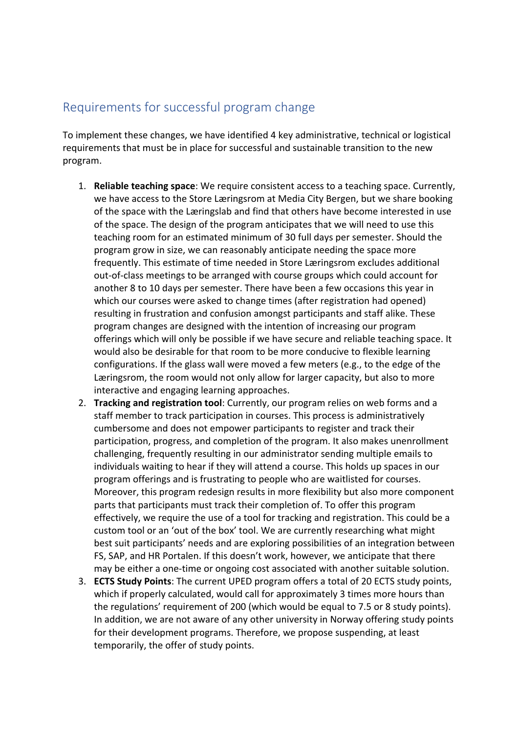# Requirements for successful program change

To implement these changes, we have identified 4 key administrative, technical or logistical requirements that must be in place for successful and sustainable transition to the new program.

- 1. **Reliable teaching space**: We require consistent access to a teaching space. Currently, we have access to the Store Læringsrom at Media City Bergen, but we share booking of the space with the Læringslab and find that others have become interested in use of the space. The design of the program anticipates that we will need to use this teaching room for an estimated minimum of 30 full days per semester. Should the program grow in size, we can reasonably anticipate needing the space more frequently. This estimate of time needed in Store Læringsrom excludes additional out-of-class meetings to be arranged with course groups which could account for another 8 to 10 days per semester. There have been a few occasions this year in which our courses were asked to change times (after registration had opened) resulting in frustration and confusion amongst participants and staff alike. These program changes are designed with the intention of increasing our program offerings which will only be possible if we have secure and reliable teaching space. It would also be desirable for that room to be more conducive to flexible learning configurations. If the glass wall were moved a few meters (e.g., to the edge of the Læringsrom, the room would not only allow for larger capacity, but also to more interactive and engaging learning approaches.
- 2. **Tracking and registration tool**: Currently, our program relies on web forms and a staff member to track participation in courses. This process is administratively cumbersome and does not empower participants to register and track their participation, progress, and completion of the program. It also makes unenrollment challenging, frequently resulting in our administrator sending multiple emails to individuals waiting to hear if they will attend a course. This holds up spaces in our program offerings and is frustrating to people who are waitlisted for courses. Moreover, this program redesign results in more flexibility but also more component parts that participants must track their completion of. To offer this program effectively, we require the use of a tool for tracking and registration. This could be a custom tool or an 'out of the box' tool. We are currently researching what might best suit participants' needs and are exploring possibilities of an integration between FS, SAP, and HR Portalen. If this doesn't work, however, we anticipate that there may be either a one-time or ongoing cost associated with another suitable solution.
- 3. **ECTS Study Points**: The current UPED program offers a total of 20 ECTS study points, which if properly calculated, would call for approximately 3 times more hours than the regulations' requirement of 200 (which would be equal to 7.5 or 8 study points). In addition, we are not aware of any other university in Norway offering study points for their development programs. Therefore, we propose suspending, at least temporarily, the offer of study points.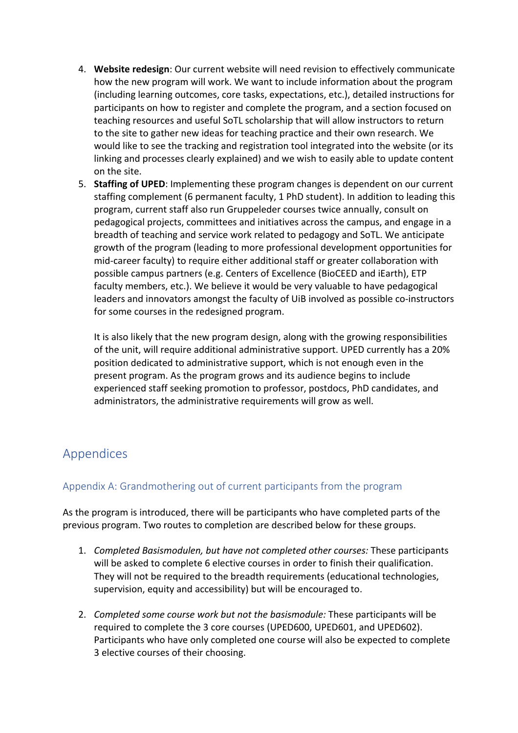- 4. **Website redesign**: Our current website will need revision to effectively communicate how the new program will work. We want to include information about the program (including learning outcomes, core tasks, expectations, etc.), detailed instructions for participants on how to register and complete the program, and a section focused on teaching resources and useful SoTL scholarship that will allow instructors to return to the site to gather new ideas for teaching practice and their own research. We would like to see the tracking and registration tool integrated into the website (or its linking and processes clearly explained) and we wish to easily able to update content on the site.
- 5. **Staffing of UPED**: Implementing these program changes is dependent on our current staffing complement (6 permanent faculty, 1 PhD student). In addition to leading this program, current staff also run Gruppeleder courses twice annually, consult on pedagogical projects, committees and initiatives across the campus, and engage in a breadth of teaching and service work related to pedagogy and SoTL. We anticipate growth of the program (leading to more professional development opportunities for mid-career faculty) to require either additional staff or greater collaboration with possible campus partners (e.g. Centers of Excellence (BioCEED and iEarth), ETP faculty members, etc.). We believe it would be very valuable to have pedagogical leaders and innovators amongst the faculty of UiB involved as possible co-instructors for some courses in the redesigned program.

It is also likely that the new program design, along with the growing responsibilities of the unit, will require additional administrative support. UPED currently has a 20% position dedicated to administrative support, which is not enough even in the present program. As the program grows and its audience begins to include experienced staff seeking promotion to professor, postdocs, PhD candidates, and administrators, the administrative requirements will grow as well.

# Appendices

# Appendix A: Grandmothering out of current participants from the program

As the program is introduced, there will be participants who have completed parts of the previous program. Two routes to completion are described below for these groups.

- 1. *Completed Basismodulen, but have not completed other courses:* These participants will be asked to complete 6 elective courses in order to finish their qualification. They will not be required to the breadth requirements (educational technologies, supervision, equity and accessibility) but will be encouraged to.
- 2. *Completed some course work but not the basismodule:* These participants will be required to complete the 3 core courses (UPED600, UPED601, and UPED602). Participants who have only completed one course will also be expected to complete 3 elective courses of their choosing.